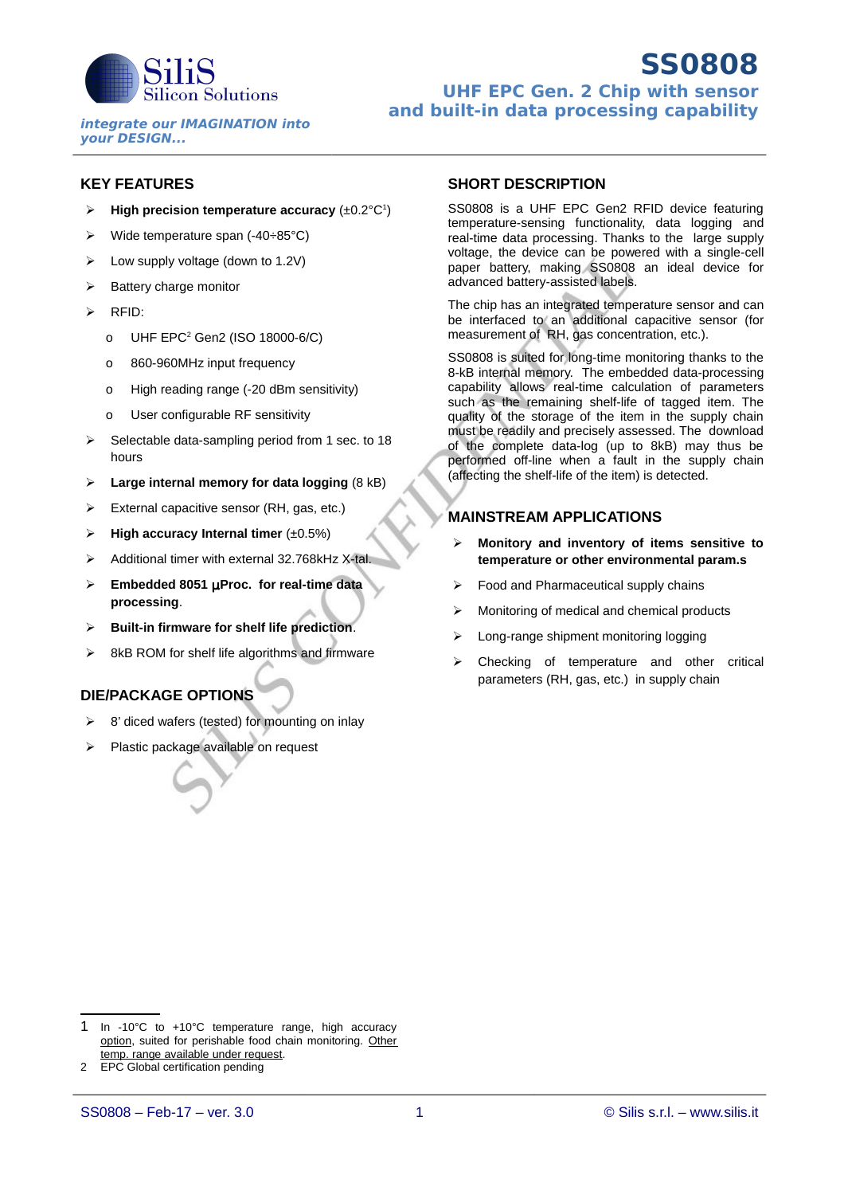

### **KEY FEATURES**

- $\triangleright$  High precision temperature accuracy  $(\pm 0.2^{\circ}C^{1})$  $(\pm 0.2^{\circ}C^{1})$  $(\pm 0.2^{\circ}C^{1})$
- $\triangleright$  Wide temperature span (-40÷85°C)
- $\triangleright$  Low supply voltage (down to 1.2V)
- $\triangleright$  Battery charge monitor
- $\triangleright$  RFID:
	- 0 UHF EPC<sup>[2](#page-0-1)</sup> Gen2 (ISO 18000-6/C)
	- o 860-960MHz input frequency
	- o High reading range (-20 dBm sensitivity)
	- o User configurable RF sensitivity
- $\triangleright$  Selectable data-sampling period from 1 sec. to 18 hours
- **Large internal memory for data logging** (8 kB)
- $\triangleright$  External capacitive sensor (RH, gas, etc.)
- **High accuracy Internal timer** (±0.5%)
- $\triangleright$  Additional timer with external 32.768kHz X-tal.
- **Embedded 8051** µ**Proc. for real-time data processing**.
- **Built-in firmware for shelf life prediction**.
- 8kB ROM for shelf life algorithms and firmware

### **DIE/PACKAGE OPTIONS**

- $\geq$  8' diced wafers (tested) for mounting on inlay
- > Plastic package available on request

### **SHORT DESCRIPTION**

SS0808 is a UHF EPC Gen2 RFID device featuring temperature-sensing functionality, data logging and real-time data processing. Thanks to the large supply voltage, the device can be powered with a single-cell paper battery, making SS0808 an ideal device for advanced battery-assisted labels.

The chip has an integrated temperature sensor and can be interfaced to an additional capacitive sensor (for measurement of RH, gas concentration, etc.).

SS0808 is suited for long-time monitoring thanks to the 8-kB internal memory. The embedded data-processing capability allows real-time calculation of parameters such as the remaining shelf-life of tagged item. The quality of the storage of the item in the supply chain must be readily and precisely assessed. The download of the complete data-log (up to 8kB) may thus be performed off-line when a fault in the supply chain (affecting the shelf-life of the item) is detected.

### **MAINSTREAM APPLICATIONS**

- **Monitory and inventory of items sensitive to temperature or other environmental param.s**
- $\triangleright$  Food and Pharmaceutical supply chains
- $\triangleright$  Monitoring of medical and chemical products
- > Long-range shipment monitoring logging
- $\geq$  Checking of temperature and other critical parameters (RH, gas, etc.) in supply chain

<span id="page-0-0"></span><sup>1</sup> In -10°C to +10°C temperature range, high accuracy option, suited for perishable food chain monitoring. Other temp. range available under request.

<span id="page-0-1"></span><sup>2</sup> EPC Global certification pending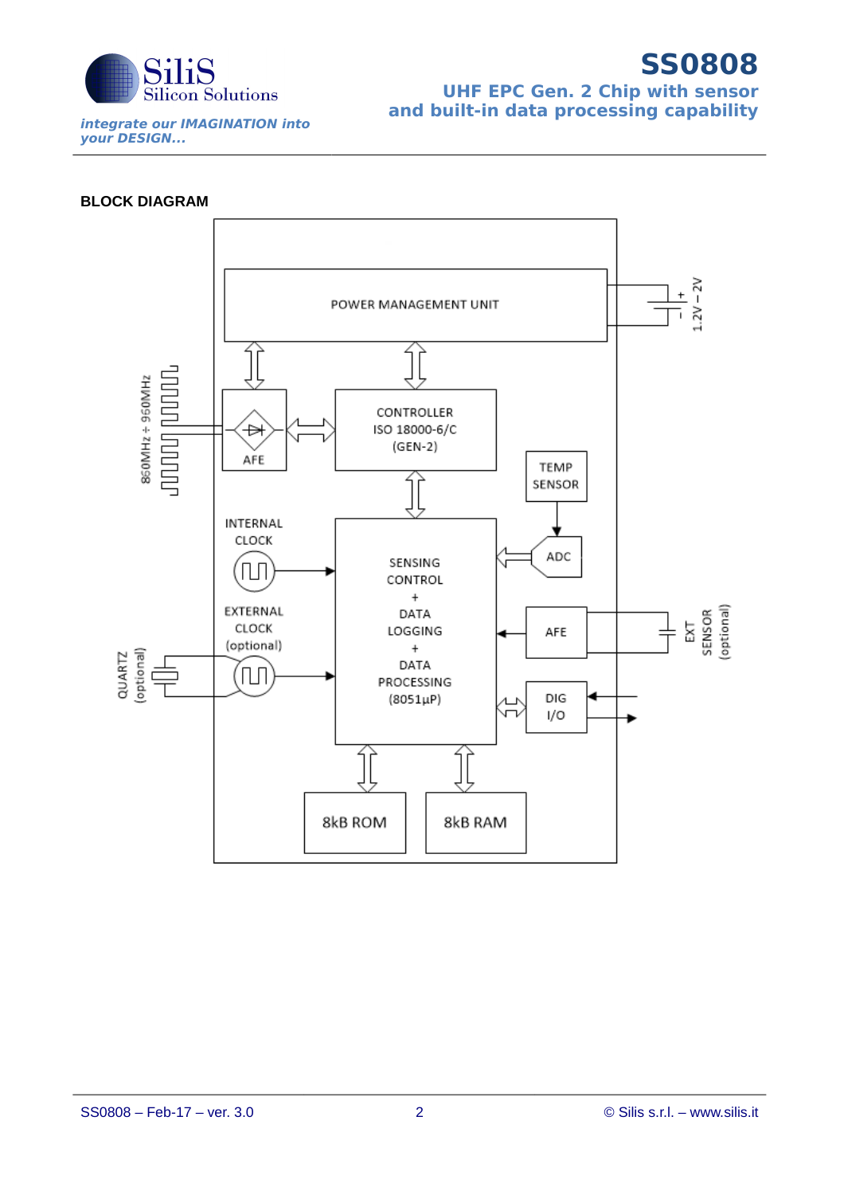

## **SS0808 UHF EPC Gen. 2 Chip with sensor and built-in data processing capability**

### **BLOCK DIAGRAM**

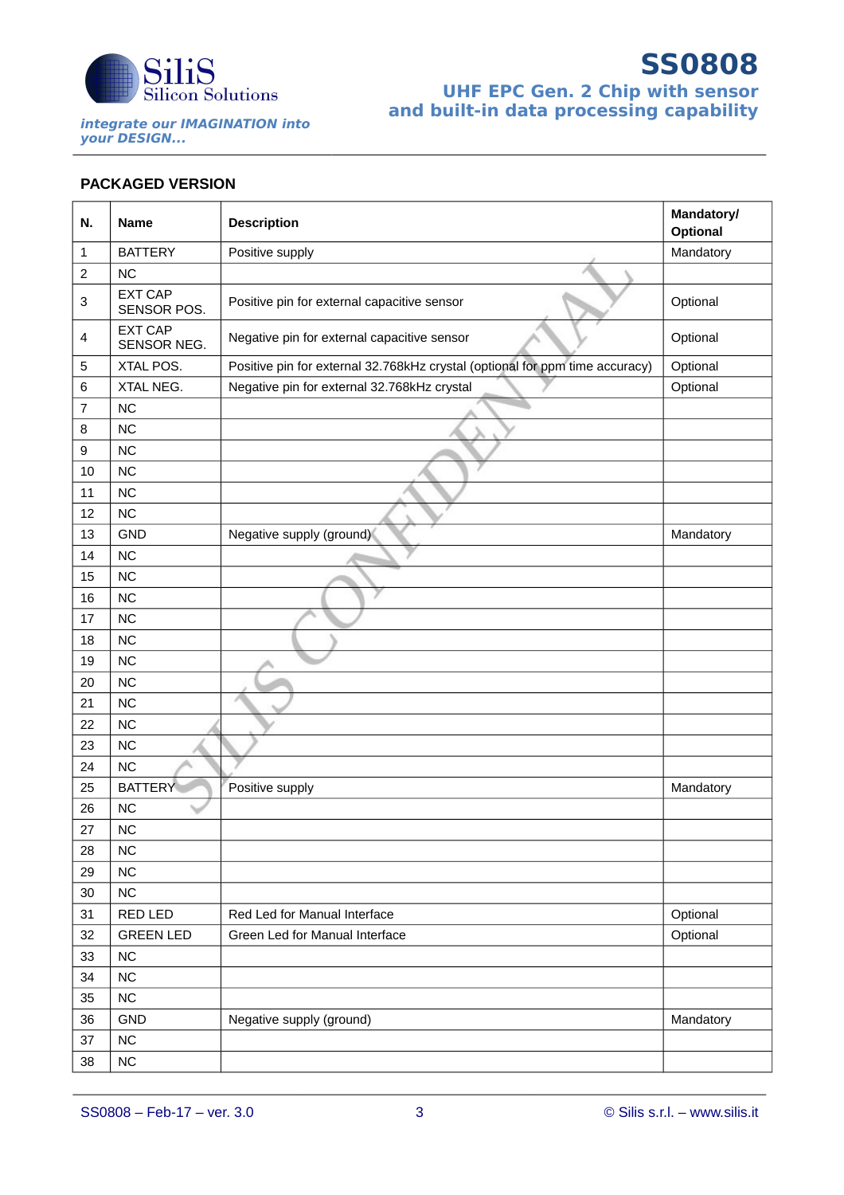

# **SS0808 UHF EPC Gen. 2 Chip with sensor and built-in data processing capability**

## **PACKAGED VERSION**

| N.           | <b>Name</b>                   | <b>Description</b>                                                           | <b>Mandatory/</b><br>Optional |  |
|--------------|-------------------------------|------------------------------------------------------------------------------|-------------------------------|--|
| $\mathbf{1}$ | <b>BATTERY</b>                | Positive supply                                                              | Mandatory                     |  |
| $\sqrt{2}$   | <b>NC</b>                     |                                                                              |                               |  |
| 3            | <b>EXT CAP</b><br>SENSOR POS. | Positive pin for external capacitive sensor                                  | Optional                      |  |
| 4            | <b>EXT CAP</b><br>SENSOR NEG. | Negative pin for external capacitive sensor                                  | Optional                      |  |
| 5            | XTAL POS.                     | Positive pin for external 32.768kHz crystal (optional for ppm time accuracy) | Optional                      |  |
| 6            | XTAL NEG.                     | Negative pin for external 32.768kHz crystal                                  | Optional                      |  |
| 7            | <b>NC</b>                     |                                                                              |                               |  |
| 8            | <b>NC</b>                     |                                                                              |                               |  |
| 9            | <b>NC</b>                     |                                                                              |                               |  |
| 10           | <b>NC</b>                     |                                                                              |                               |  |
| 11           | <b>NC</b>                     |                                                                              |                               |  |
| 12           | <b>NC</b>                     |                                                                              |                               |  |
| 13           | <b>GND</b>                    | Negative supply (ground)                                                     | Mandatory                     |  |
| 14           | <b>NC</b>                     |                                                                              |                               |  |
| 15           | <b>NC</b>                     |                                                                              |                               |  |
| 16           | <b>NC</b>                     |                                                                              |                               |  |
| 17           | <b>NC</b>                     |                                                                              |                               |  |
| 18           | <b>NC</b>                     |                                                                              |                               |  |
| 19           | <b>NC</b>                     |                                                                              |                               |  |
| 20           | <b>NC</b>                     |                                                                              |                               |  |
| 21           | <b>NC</b>                     |                                                                              |                               |  |
| 22           | <b>NC</b>                     |                                                                              |                               |  |
| 23           | <b>NC</b>                     |                                                                              |                               |  |
| 24           | <b>NC</b>                     |                                                                              |                               |  |
| 25           | <b>BATTERY</b>                | Positive supply                                                              | Mandatory                     |  |
| 26           | <b>NC</b>                     |                                                                              |                               |  |
| 27           | <b>NC</b>                     |                                                                              |                               |  |
| 28           | <b>NC</b>                     |                                                                              |                               |  |
| 29           | <b>NC</b>                     |                                                                              |                               |  |
| 30           | $NC$                          |                                                                              |                               |  |
| 31           | RED LED                       | Red Led for Manual Interface                                                 | Optional                      |  |
| 32           | <b>GREEN LED</b>              | Green Led for Manual Interface                                               | Optional                      |  |
| 33           | <b>NC</b>                     |                                                                              |                               |  |
| 34           | <b>NC</b>                     |                                                                              |                               |  |
| 35           | <b>NC</b>                     |                                                                              |                               |  |
| 36           | GND                           | Negative supply (ground)                                                     | Mandatory                     |  |
| 37           | <b>NC</b>                     |                                                                              |                               |  |
| 38           | $NC$                          |                                                                              |                               |  |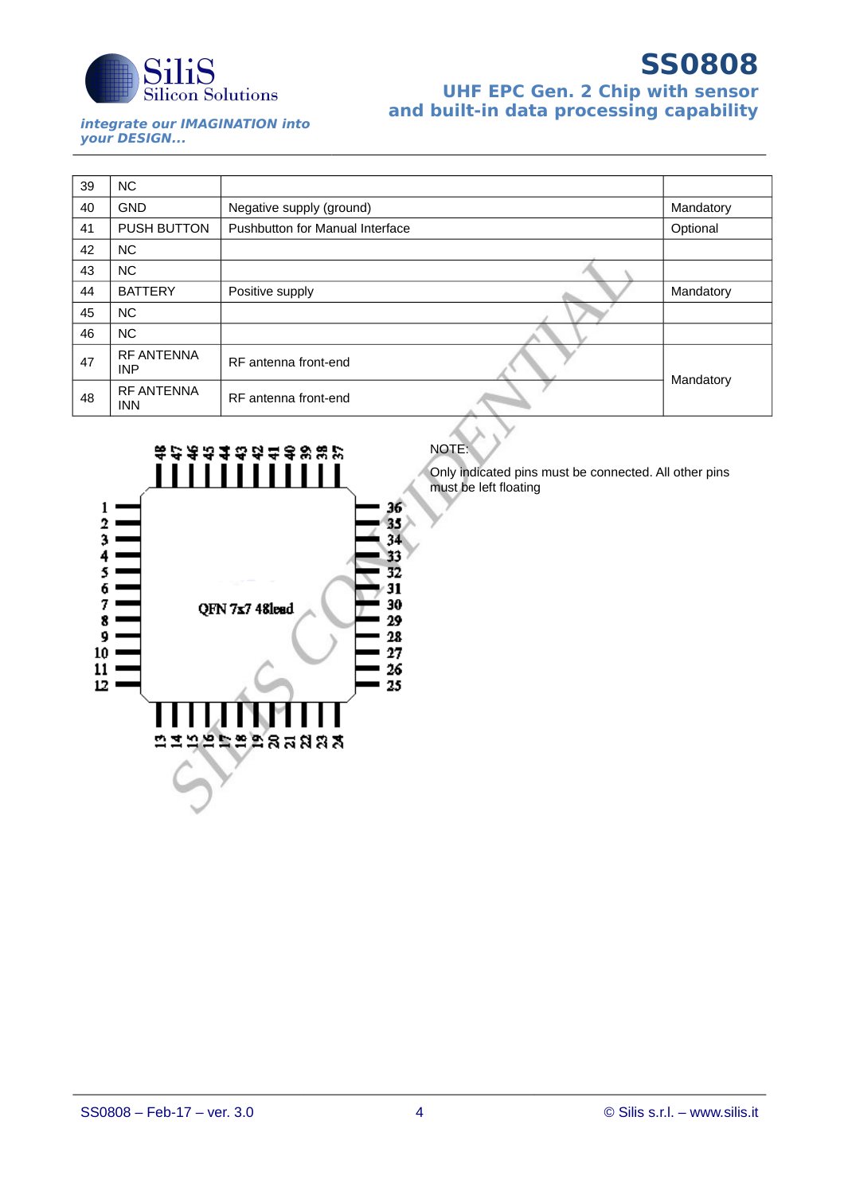

# **SS0808 UHF EPC Gen. 2 Chip with sensor and built-in data processing capability**

**integrate our IMAGINATION into your DESIGN...**

| 39 | NC.                             |                                 |           |
|----|---------------------------------|---------------------------------|-----------|
| 40 | <b>GND</b>                      | Negative supply (ground)        | Mandatory |
| 41 | <b>PUSH BUTTON</b>              | Pushbutton for Manual Interface | Optional  |
| 42 | NC.                             |                                 |           |
| 43 | NC.                             |                                 |           |
| 44 | <b>BATTERY</b>                  | Positive supply                 | Mandatory |
| 45 | NC.                             |                                 |           |
| 46 | NC.                             |                                 |           |
| 47 | <b>RF ANTENNA</b><br><b>INP</b> | RF antenna front-end            |           |
| 48 | <b>RF ANTENNA</b><br><b>INN</b> | RF antenna front-end            | Mandatory |



**NOTE** 

Only indicated pins must be connected. All other pins must be left floating